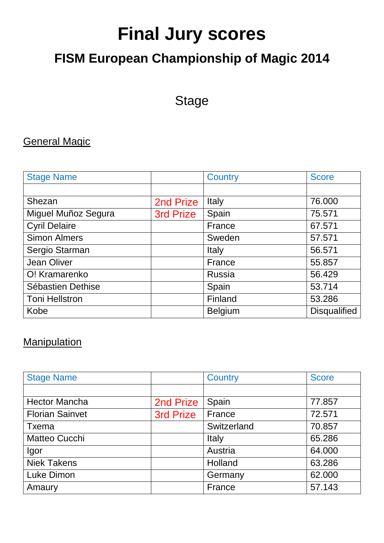# **Final Jury scores**

# **FISM European Championship of Magic 2014**

# Stage

## General Magic

| <b>Stage Name</b>     |           | <b>Country</b> | <b>Score</b> |
|-----------------------|-----------|----------------|--------------|
|                       |           |                |              |
| Shezan                | 2nd Prize | Italy          | 76.000       |
| Miguel Muñoz Segura   | 3rd Prize | Spain          | 75.571       |
| <b>Cyril Delaire</b>  |           | France         | 67.571       |
| <b>Simon Almers</b>   |           | Sweden         | 57.571       |
| Sergio Starman        |           | Italy          | 56.571       |
| <b>Jean Oliver</b>    |           | France         | 55.857       |
| O! Kramarenko         |           | <b>Russia</b>  | 56.429       |
| Sébastien Dethise     |           | Spain          | 53.714       |
| <b>Toni Hellstron</b> |           | Finland        | 53.286       |
| Kobe                  |           | <b>Belgium</b> | Disqualified |

#### **Manipulation**

| <b>Stage Name</b>      |           | Country     | <b>Score</b> |
|------------------------|-----------|-------------|--------------|
|                        |           |             |              |
| <b>Hector Mancha</b>   | 2nd Prize | Spain       | 77.857       |
| <b>Florian Sainvet</b> | 3rd Prize | France      | 72.571       |
| Txema                  |           | Switzerland | 70.857       |
| Matteo Cucchi          |           | Italy       | 65.286       |
| Igor                   |           | Austria     | 64.000       |
| <b>Niek Takens</b>     |           | Holland     | 63.286       |
| Luke Dimon             |           | Germany     | 62.000       |
| Amaury                 |           | France      | 57.143       |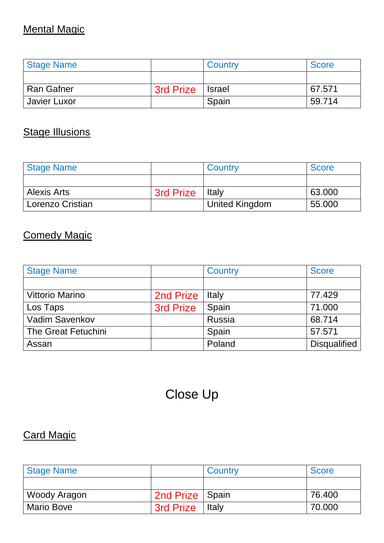## Mental Magic

| <b>Stage Name</b> |                  | Country       | <b>Score</b> |
|-------------------|------------------|---------------|--------------|
|                   |                  |               |              |
| l Ran Gafner      | <b>3rd Prize</b> | <b>Israel</b> | 67.571       |
| Javier Luxor      |                  | Spain         | 59.714       |

#### **Stage Illusions**

| <b>Stage Name</b>  |                  | Country        | <b>Score</b> |
|--------------------|------------------|----------------|--------------|
|                    |                  |                |              |
| <b>Alexis Arts</b> | <b>3rd Prize</b> | Italy          | 63.000       |
| Lorenzo Cristian   |                  | United Kingdom | 55.000       |

#### Comedy Magic

| <b>Stage Name</b>      |                  | Country | <b>Score</b> |
|------------------------|------------------|---------|--------------|
|                        |                  |         |              |
| <b>Vittorio Marino</b> | 2nd Prize        | Italy   | 77.429       |
| Los Taps               | <b>3rd Prize</b> | Spain   | 71.000       |
| Vadim Savenkov         |                  | Russia  | 68.714       |
| The Great Fetuchini    |                  | Spain   | 57.571       |
| Assan                  |                  | Poland  | Disqualified |

# Close Up

#### Card Magic

| <b>Stage Name</b> |                   | Country | <b>Score</b> |
|-------------------|-------------------|---------|--------------|
|                   |                   |         |              |
| Woody Aragon      | 2nd Prize   Spain |         | 76.400       |
| <b>Mario Bove</b> | <b>3rd Prize</b>  | Italy   | 70,000       |